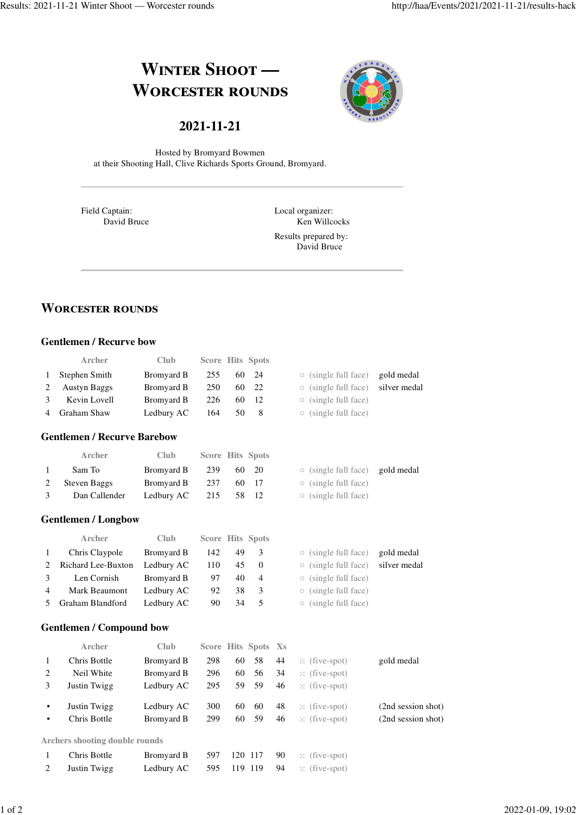# **WINTER SHOOT** — **WORCESTER ROUNDS**



# **2021-11-21**

Hosted by Bromyard Bowmen at their Shooting Hall, Clive Richards Sports Ground, Bromyard.

Field Captain: David Bruce Local organizer: Ken Willcocks

Results prepared by: David Bruce

# **WORCESTER ROUNDS**

#### **Gentlemen / Recurve bow**

|   | Archer                             | Club       | <b>Score Hits Spots</b> |    |                |                                           |              |
|---|------------------------------------|------------|-------------------------|----|----------------|-------------------------------------------|--------------|
| 1 | Stephen Smith                      | Bromyard B | 255                     | 60 | 24             | $\circ$ (single full face)                | gold medal   |
| 2 | <b>Austyn Baggs</b>                | Bromyard B | 250                     | 60 | 22             | $\circ$ (single full face)                | silver medal |
| 3 | Kevin Lovell                       | Bromyard B | 226                     | 60 | 12             | $\circ$ (single full face)                |              |
| 4 | Graham Shaw                        | Ledbury AC | 164                     | 50 | 8              | (single full face)                        |              |
|   | <b>Gentlemen / Recurve Barebow</b> |            |                         |    |                |                                           |              |
|   | Archer                             | Club       | <b>Score Hits Spots</b> |    |                |                                           |              |
| 1 | Sam To                             | Bromyard B | 239                     | 60 | 20             | $\circ$ (single full face)                | gold medal   |
| 2 | <b>Steven Baggs</b>                | Bromyard B | 237                     | 60 | 17             | (single full face)<br>$\circlearrowright$ |              |
| 3 | Dan Callender                      | Ledbury AC | 215                     | 58 | 12             | (single full face)<br>$\circ$             |              |
|   | <b>Gentlemen / Longbow</b>         |            |                         |    |                |                                           |              |
|   | Archer                             | Club       | <b>Score Hits Spots</b> |    |                |                                           |              |
| 1 | Chris Claypole                     | Bromyard B | 142                     | 49 | 3              | (single full face)                        | gold medal   |
| 2 | Richard Lee-Buxton                 | Ledbury AC | 110                     | 45 | $\mathbf{0}$   | (single full face)<br>$\circ$             | silver medal |
| 3 | Len Cornish                        | Bromyard B | 97                      | 40 | $\overline{4}$ | (single full face)<br>$\circ$             |              |
| 4 | Mark Beaumont                      | Ledbury AC | 92                      | 38 | 3              | (single full face)                        |              |

5 Graham Blandford Ledbury AC 90 34 5 (single full face)

### **Gentlemen / Compound bow**

|                | Archer                                | <b>Club</b> |     |    | Score Hits Spots Xs |    |                          |                    |
|----------------|---------------------------------------|-------------|-----|----|---------------------|----|--------------------------|--------------------|
| 1              | Chris Bottle                          | Bromyard B  | 298 | 60 | 58                  | 44 | $\therefore$ (five-spot) | gold medal         |
| 2              | Neil White                            | Bromyard B  | 296 | 60 | 56                  | 34 | $\therefore$ (five-spot) |                    |
| 3              | Justin Twigg                          | Ledbury AC  | 295 | 59 | -59                 | 46 | $\therefore$ (five-spot) |                    |
| $\bullet$      | Justin Twigg                          | Ledbury AC  | 300 | 60 | 60                  | 48 | $\therefore$ (five-spot) | (2nd session shot) |
| $\bullet$      | Chris Bottle                          | Bromyard B  | 299 | 60 | 59                  | 46 | $\therefore$ (five-spot) | (2nd session shot) |
|                | <b>Archers shooting double rounds</b> |             |     |    |                     |    |                          |                    |
|                | Chris Bottle                          | Bromyard B  | 597 |    | 120 117             | 90 | $\therefore$ (five-spot) |                    |
| $\mathfrak{D}$ | Justin Twigg                          | Ledbury AC  | 595 |    | 119 119             | 94 | $\therefore$ (five-spot) |                    |
|                |                                       |             |     |    |                     |    |                          |                    |